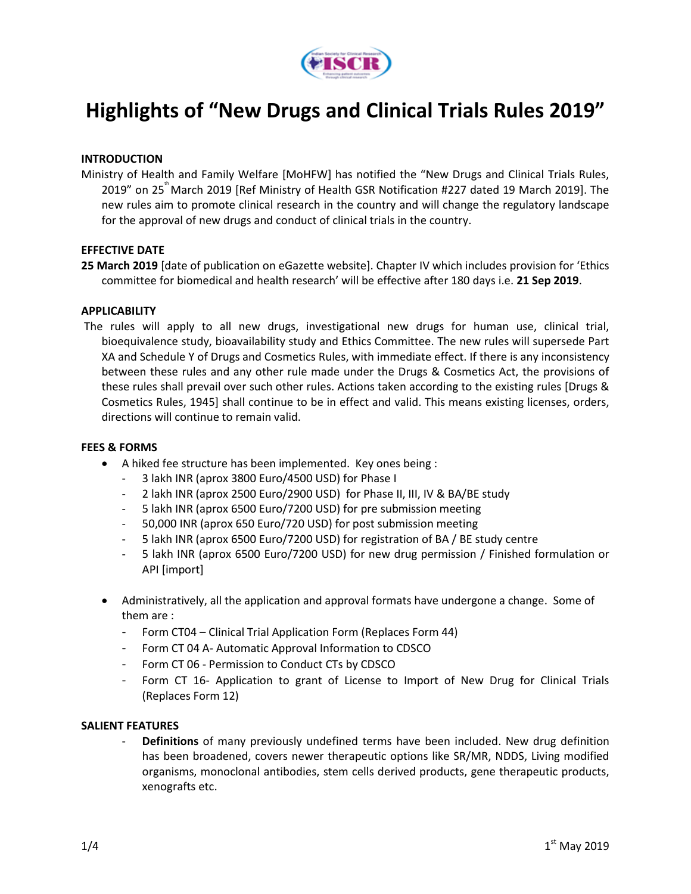

# **Highlights of "New Drugs and Clinical Trials Rules 2019"**

## **INTRODUCTION**

Ministry of Health and Family Welfare [MoHFW] has notified the "New Drugs and Clinical Trials Rules, 2019" on 25<sup>th</sup> March 2019 [Ref Ministry of Health GSR Notification #227 dated 19 March 2019]. The new rules aim to promote clinical research in the country and will change the regulatory landscape for the approval of new drugs and conduct of clinical trials in the country.

## **EFFECTIVE DATE**

**25 March 2019** [date of publication on eGazette website]. Chapter IV which includes provision for 'Ethics committee for biomedical and health research' will be effective after 180 days i.e. **21 Sep 2019**.

## **APPLICABILITY**

The rules will apply to all new drugs, investigational new drugs for human use, clinical trial, bioequivalence study, bioavailability study and Ethics Committee. The new rules will supersede Part XA and Schedule Y of Drugs and Cosmetics Rules, with immediate effect. If there is any inconsistency between these rules and any other rule made under the Drugs & Cosmetics Act, the provisions of these rules shall prevail over such other rules. Actions taken according to the existing rules [Drugs & Cosmetics Rules, 1945] shall continue to be in effect and valid. This means existing licenses, orders, directions will continue to remain valid.

#### **FEES & FORMS**

- A hiked fee structure has been implemented. Key ones being :
	- 3 lakh INR (aprox 3800 Euro/4500 USD) for Phase I
	- 2 lakh INR (aprox 2500 Euro/2900 USD) for Phase II, III, IV & BA/BE study
	- 5 lakh INR (aprox 6500 Euro/7200 USD) for pre submission meeting
	- 50,000 INR (aprox 650 Euro/720 USD) for post submission meeting
	- 5 lakh INR (aprox 6500 Euro/7200 USD) for registration of BA / BE study centre
	- 5 lakh INR (aprox 6500 Euro/7200 USD) for new drug permission / Finished formulation or API [import]
- Administratively, all the application and approval formats have undergone a change. Some of them are :
	- Form CT04 Clinical Trial Application Form (Replaces Form 44)
	- Form CT 04 A- Automatic Approval Information to CDSCO
	- Form CT 06 Permission to Conduct CTs by CDSCO
	- Form CT 16- Application to grant of License to Import of New Drug for Clinical Trials (Replaces Form 12)

## **SALIENT FEATURES**

- **Definitions** of many previously undefined terms have been included. New drug definition has been broadened, covers newer therapeutic options like SR/MR, NDDS, Living modified organisms, monoclonal antibodies, stem cells derived products, gene therapeutic products, xenografts etc.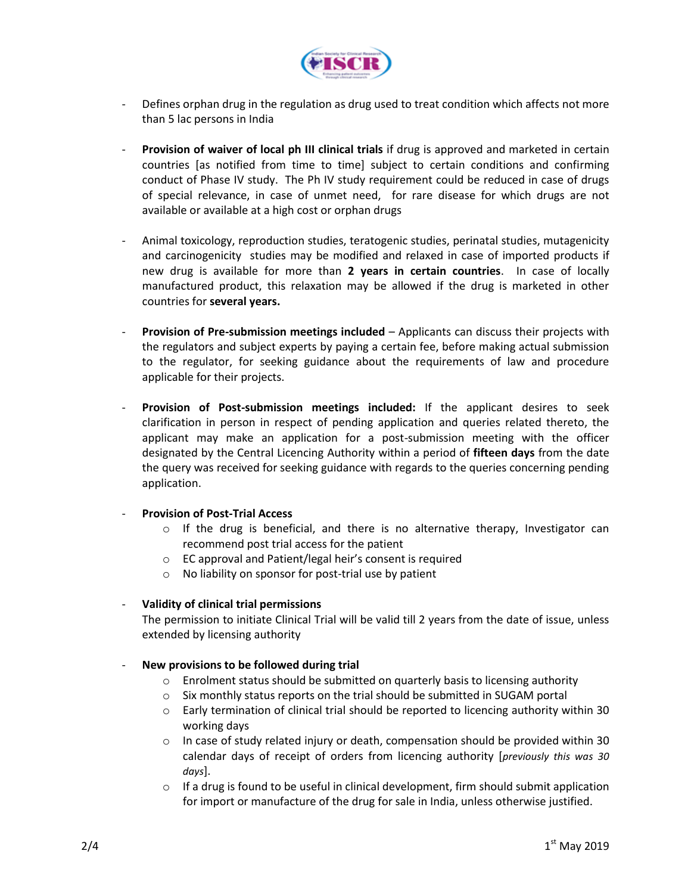

- Defines orphan drug in the regulation as drug used to treat condition which affects not more than 5 lac persons in India
- **Provision of waiver of local ph III clinical trials** if drug is approved and marketed in certain countries [as notified from time to time] subject to certain conditions and confirming conduct of Phase IV study. The Ph IV study requirement could be reduced in case of drugs of special relevance, in case of unmet need, for rare disease for which drugs are not available or available at a high cost or orphan drugs
- Animal toxicology, reproduction studies, teratogenic studies, perinatal studies, mutagenicity and carcinogenicity studies may be modified and relaxed in case of imported products if new drug is available for more than **2 years in certain countries**. In case of locally manufactured product, this relaxation may be allowed if the drug is marketed in other countries for **several years.**
- **Provision of Pre-submission meetings included** Applicants can discuss their projects with the regulators and subject experts by paying a certain fee, before making actual submission to the regulator, for seeking guidance about the requirements of law and procedure applicable for their projects.
- **Provision of Post-submission meetings included:** If the applicant desires to seek clarification in person in respect of pending application and queries related thereto, the applicant may make an application for a post-submission meeting with the officer designated by the Central Licencing Authority within a period of **fifteen days** from the date the query was received for seeking guidance with regards to the queries concerning pending application.

# - **Provision of Post-Trial Access**

- $\circ$  If the drug is beneficial, and there is no alternative therapy, Investigator can recommend post trial access for the patient
- o EC approval and Patient/legal heir's consent is required
- o No liability on sponsor for post-trial use by patient

# - **Validity of clinical trial permissions**

The permission to initiate Clinical Trial will be valid till 2 years from the date of issue, unless extended by licensing authority

# - **New provisions to be followed during trial**

- o Enrolment status should be submitted on quarterly basis to licensing authority
- o Six monthly status reports on the trial should be submitted in SUGAM portal
- o Early termination of clinical trial should be reported to licencing authority within 30 working days
- $\circ$  In case of study related injury or death, compensation should be provided within 30 calendar days of receipt of orders from licencing authority [*previously this was 30 days*].
- $\circ$  If a drug is found to be useful in clinical development, firm should submit application for import or manufacture of the drug for sale in India, unless otherwise justified.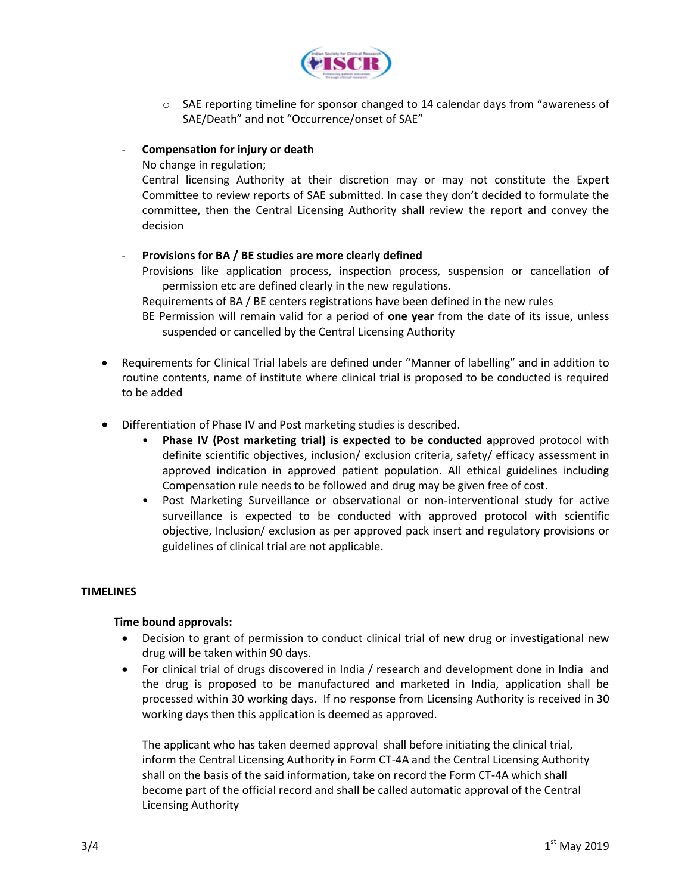

o SAE reporting timeline for sponsor changed to 14 calendar days from "awareness of SAE/Death" and not "Occurrence/onset of SAE"

# - **Compensation for injury or death**

No change in regulation;

Central licensing Authority at their discretion may or may not constitute the Expert Committee to review reports of SAE submitted. In case they don't decided to formulate the committee, then the Central Licensing Authority shall review the report and convey the decision

# - **Provisions for BA / BE studies are more clearly defined**

Provisions like application process, inspection process, suspension or cancellation of permission etc are defined clearly in the new regulations.

Requirements of BA / BE centers registrations have been defined in the new rules

BE Permission will remain valid for a period of **one year** from the date of its issue, unless suspended or cancelled by the Central Licensing Authority

- Requirements for Clinical Trial labels are defined under "Manner of labelling" and in addition to routine contents, name of institute where clinical trial is proposed to be conducted is required to be added
- Differentiation of Phase IV and Post marketing studies is described.
	- **Phase IV (Post marketing trial) is expected to be conducted a**pproved protocol with definite scientific objectives, inclusion/ exclusion criteria, safety/ efficacy assessment in approved indication in approved patient population. All ethical guidelines including Compensation rule needs to be followed and drug may be given free of cost.
	- Post Marketing Surveillance or observational or non-interventional study for active surveillance is expected to be conducted with approved protocol with scientific objective, Inclusion/ exclusion as per approved pack insert and regulatory provisions or guidelines of clinical trial are not applicable.

# **TIMELINES**

# **Time bound approvals:**

- Decision to grant of permission to conduct clinical trial of new drug or investigational new drug will be taken within 90 days.
- For clinical trial of drugs discovered in India / research and development done in India and the drug is proposed to be manufactured and marketed in India, application shall be processed within 30 working days. If no response from Licensing Authority is received in 30 working days then this application is deemed as approved.

The applicant who has taken deemed approval shall before initiating the clinical trial, inform the Central Licensing Authority in Form CT-4A and the Central Licensing Authority shall on the basis of the said information, take on record the Form CT-4A which shall become part of the official record and shall be called automatic approval of the Central Licensing Authority